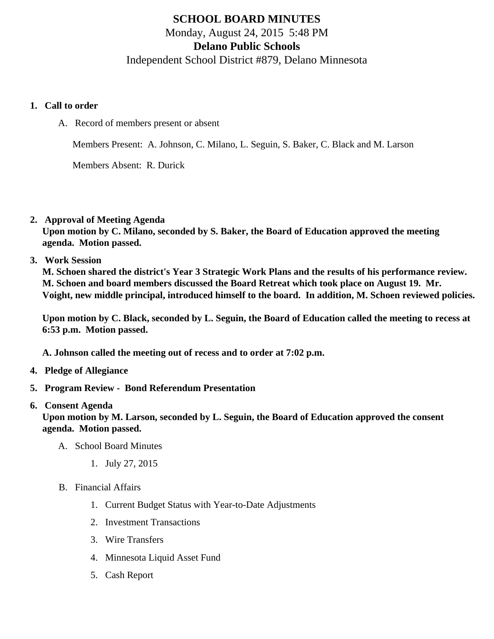## SCHOOL BOARD MINUTES Monday, August 24, 2015 5:48 PM Delano Public Schools Independent School District #879, Delano Minnesota

- 1. Call to order
	- A. Record of members present or absent

Members Present: A. Johnson, C. Milano, L. Seguin, S. Baker, C. Black and M. Larson

Members Absent: R. Durick

2. Approval of Meeting Agenda

Upon motion by C. Milano, seconded by S. Baker, the Board of Education approved the meeting agenda. Motion passed.

3. Work Session

M. Schoen shared the district's Year 3 Strategic Work Plans and the results of his performance review. M. Schoen and board members discussed the Board Retreat which took place on August 19. Mr. Voight, new middle principal, introduced himself to the board. In addition, M. Schoen reviewed policies.

Upon motion by C. Black, seconded by L. Seguin, the Board of Education called the meeting to recess at 6:53 p.m. Motion passed.

A. Johnson called the meeting out of recess and to order at 7:02 p.m.

- 4. Pledge of Allegiance
- 5. Program Review [Bond Referendum Presentation](/docs/district/District_Forms/Information_Campaign_8-19-15_(1).pdf)
- 6. Consent Agenda

Upon motion by M. Larson, seconded by L. Seguin, the Board of Education approved the consent agenda. Motion passed.

- A. School Board Minutes
	- 1. [July 27, 2015](/docs/district/District_Forms/School_Board_Minutes_7.27.15.pdf)
- B. Financial Affairs
	- 1. [Current Budget Status with Year-to-Date Adjustm](/docs/district/Business_Office/Budget_Report_Aug_2015.pdf)ents
	- 2. [Investment Transactio](/docs/district/Business_Office/Investment_schedule_15-16.pdf )ns
	- 3. [Wire Transfer](/docs/district/Business_Office/Wire_Transfer.pdf )s
	- 4. [Minnesota Liquid Asset Fun](/docs/district/Business_Office/Liquid_Asset_Fund_FY15.pdf)d
	- 5. [Cash Repo](/docs/district/Business_Office/Cash_Report.pdf)rt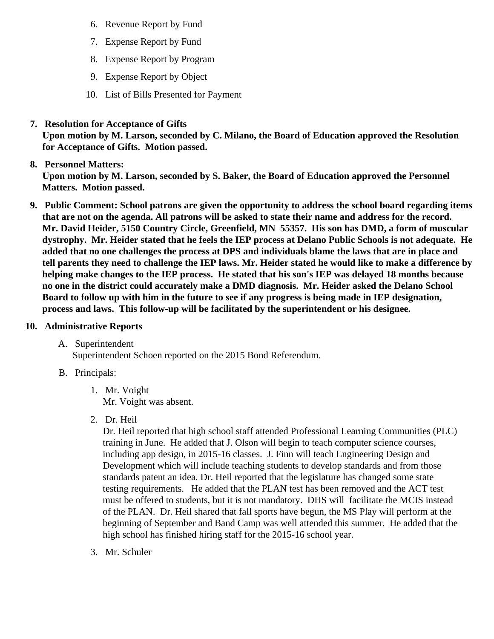- 6. [Revenue Report by Fu](/docs/district/Business_Office/SCHOOL_BOARD_REPORTS_-_REVENUE_BY_FUND_TOTAL__(Date__6_2016).pdf)nd
- 7. [Expense Report by Fu](/docs/district/Business_Office/SCHOOL_BOARD_REPORTS_-_EXP_BY_FUND_TOTAL__(Date__6_2016).pdf)nd
- 8. [Expense Report by Progra](/docs/district/Business_Office/SCHOOL_BOARD_REPORTS_-_EXPENDITURES_BY_PROGRAM__(Date__6_2016).pdf)m
- 9. [Expense Report by Obje](/docs/district/Business_Office/SCHOOL_BOARD_REPORTS_-_EXPENDITURES_BY_OBJECT__(Date__6_2016).pdf)ct
- 10. [List of Bills Presented for Payme](/docs/district/Business_Office/DETAIL_OF_MONTHLY_BILLS_PRESENTED_FOR_PAYMENT_(Dates__06_01_15_-_08_19_15).pdf)nt
- 7. [Resolution for Acceptance of Gifts](/docs/district/Business_Office/Resolution_for_Acceptance_of_Gifts_8.24.15.pdf)

Upon motion by M. Larson, seconded by C. Milano, the Board of Education approved the Resolution for Acceptance of Gifts. Motion passed.

8. [Personnel Matters:](/docs/district/Business_Office/August_24,_2015_Personnel_Items.pdf)

Upon motion by M. Larson, seconded by S. Baker, the Board of Education approved the Personnel Matters. Motion passed.

- 9. Public Comment: School patrons are given the opportunity to address the school board regarding items that are not on the agenda. All patrons will be asked to state their name and address for the record. Mr. David Heider, 5150 Country Circle, Greenfield, MN 55357. His son has DMD, a form of muscular dystrophy. Mr. Heider stated that he feels the IEP process at Delano Public Schools is not adequate. He added that no one challenges the process at DPS and individuals blame the laws that are in place and tell parents they need to challenge the IEP laws. Mr. Heider stated he would like to make a difference by helping make changes to the IEP process. He stated that his son's IEP was delayed 18 months because no one in the district could accurately make a DMD diagnosis. Mr. Heider asked the Delano School Board to follow up with him in the future to see if any progress is being made in IEP designation, process and laws. This follow-up will be facilitated by the superintendent or his designee.
- 10. Administrative Reports
	- A. Superintendent

Superintendent Schoen reported on 20€5 Bond Referendum.

- B. Principals:
	- 1. Mr. Voight Mr. Voight was absent.
	- 2. Dr. Heil

Dr. Heil reported that high school staff attended Professional Learning Communities (PLC) training in June. He added that J. Olson will begin to teach computer science courses, including app design, in 2015-16 classes. J. Finn will teach Engineering Design and Development which will include teaching students to develop standards and from those standards patent an idea. Dr. Heil reported that the legislature has changed some state testing requirements. He added that the PLAN test has been removed and the ACT test must be offered to students, but it is not mandatory. DHS will facilitate the MCIS instead of the PLAN. Dr. Heil shared that fall sports have begun, the MS Play will perform at the beginning of September and Band Camp was well attended this summer. He added that the high school has finished hiring staff for the 2015-16 school year.

3. Mr. Schuler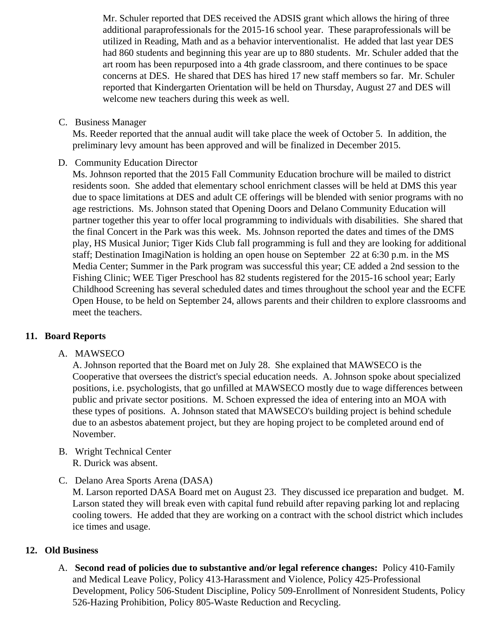Mr. Schuler reported that DES received the ADSIS grant which allows the hiring of three additional paraprofessionals for the 2015-16 school year. These paraprofessionals will be utilized in Reading, Math and as a behavior interventionalist. He added that last year DES had 860 students and beginning this year are up to 880 students. Mr. Schuler added that the art room has been repurposed into a 4th grade classroom, and there continues to be space concerns at DES. He shared that DES has hired 17 new staff members so far. Mr. Schuler reported that Kindergarten Orientation will be held on Thursday, August 27 and DES will welcome new teachers during this week as well.

C. Business Manager

Ms. Reeder reported that the annual audit will take place the week of October 5. In addition, the preliminary levy amount has been approved and will be finalized in December 2015.

D. Community Education Director

Ms. Johnson reported that the 2015 Fall Community Education brochure will be mailed to district residents soon. She added that elementary school enrichment classes will be held at DMS this year due to space limitations at DES and adult CE offerings will be blended with senior programs with no age restrictions. Ms. Johnson stated that Opening Doors and Delano Community Education will partner together this year to offer local programming to individuals with disabilities. She shared that the final Concert in the Park was this week. Ms. Johnson reported the dates and times of the DMS play, HS Musical Junior; Tiger Kids Club fall programming is full and they are looking for additional staff; Destination ImagiNation is holding an open house on September 22 at 6:30 p.m. in the MS Media Center; Summer in the Park program was successful this year; CE added a 2nd session to the Fishing Clinic; WEE Tiger Preschool has 82 students registered for the 2015-16 school year; Early Childhood Screening has several scheduled dates and times throughout the school year and the ECFE Open House, to be held on September 24, allows parents and their children to explore classrooms and meet the teachers.

## **11. Board Reports**

A. MAWSECO

A. Johnson reported that the Board met on July 28. She explained that MAWSECO is the Cooperative that oversees the district's special education needs. A. Johnson spoke about specialized positions, i.e. psychologists, that go unfilled at MAWSECO mostly due to wage differences between public and private sector positions. M. Schoen expressed the idea of entering into an MOA with these types of positions. A. Johnson stated that MAWSECO's building project is behind schedule due to an asbestos abatement project, but they are hoping project to be completed around end of November.

- B. Wright Technical Center R. Durick was absent.
- C. Delano Area Sports Arena (DASA)

M. Larson reported DASA Board met on August 23. They discussed ice preparation and budget. M. Larson stated they will break even with capital fund rebuild after repaving parking lot and replacing cooling towers. He added that they are working on a contract with the school district which includes ice times and usage.

## **12. Old Business**

A. **Second read of policies due to substantive and/or legal reference changes:** Policy 410-Family and Medical Leave Policy, Policy 413-Harassment and Violence, Policy 425-Professional Development, Policy 506-Student Discipline, Policy 509-Enrollment of Nonresident Students, Policy 526-Hazing Prohibition, Policy 805-Waste Reduction and Recycling.